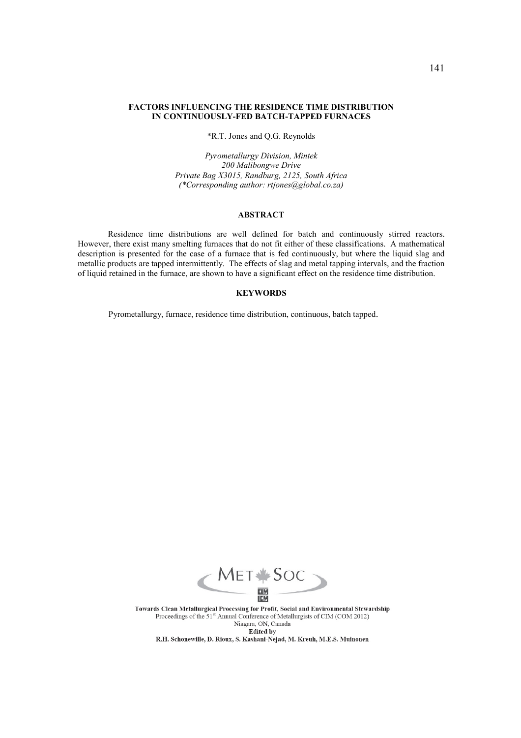### **FACTORS INFLUENCING THE RESIDENCE TIME DISTRIBUTION IN CONTINUOUSLY-FED BATCH-TAPPED FURNACES**

\*R.T. Jones and Q.G. Reynolds

*Pyrometallurgy Division, Mintek 200 Malibongwe Drive Private Bag X3015, Randburg, 2125, South Africa (\*Corresponding author: rtjones@global.co.za)* 

## **ABSTRACT**

Residence time distributions are well defined for batch and continuously stirred reactors. However, there exist many smelting furnaces that do not fit either of these classifications. A mathematical description is presented for the case of a furnace that is fed continuously, but where the liquid slag and metallic products are tapped intermittently. The effects of slag and metal tapping intervals, and the fraction of liquid retained in the furnace, are shown to have a significant effect on the residence time distribution.

# **KEYWORDS**

Pyrometallurgy, furnace, residence time distribution, continuous, batch tapped.



Towards Clean Metallurgical Processing for Profit, Social and Environmental Stewardship Proceedings of the 51<sup>st</sup> Annual Conference of Metallurgists of CIM (COM 2012)<br>Niagara, ON, Canada **Edited by** 

R.H. Schonewille, D. Rioux, S. Kashani-Nejad, M. Kreuh, M.E.S. Muinonen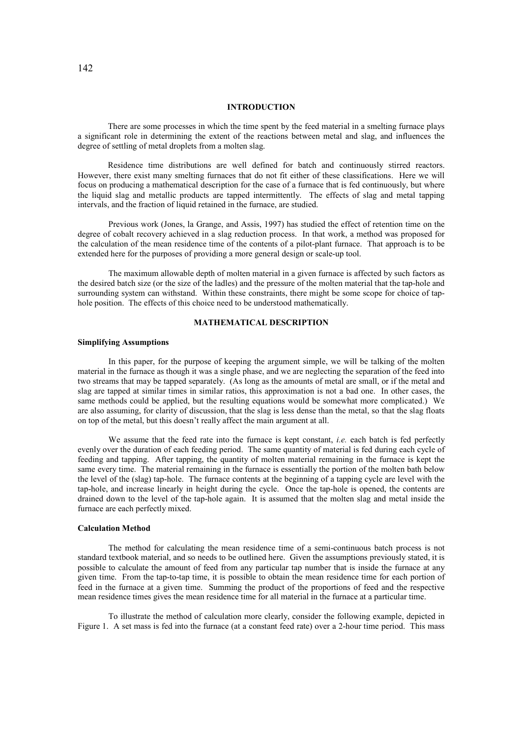### **INTRODUCTION**

There are some processes in which the time spent by the feed material in a smelting furnace plays a significant role in determining the extent of the reactions between metal and slag, and influences the degree of settling of metal droplets from a molten slag.

Residence time distributions are well defined for batch and continuously stirred reactors. However, there exist many smelting furnaces that do not fit either of these classifications. Here we will focus on producing a mathematical description for the case of a furnace that is fed continuously, but where the liquid slag and metallic products are tapped intermittently. The effects of slag and metal tapping intervals, and the fraction of liquid retained in the furnace, are studied.

Previous work (Jones, la Grange, and Assis, 1997) has studied the effect of retention time on the degree of cobalt recovery achieved in a slag reduction process. In that work, a method was proposed for the calculation of the mean residence time of the contents of a pilot-plant furnace. That approach is to be extended here for the purposes of providing a more general design or scale-up tool.

The maximum allowable depth of molten material in a given furnace is affected by such factors as the desired batch size (or the size of the ladles) and the pressure of the molten material that the tap-hole and surrounding system can withstand. Within these constraints, there might be some scope for choice of taphole position. The effects of this choice need to be understood mathematically.

# **MATHEMATICAL DESCRIPTION**

### **Simplifying Assumptions**

In this paper, for the purpose of keeping the argument simple, we will be talking of the molten material in the furnace as though it was a single phase, and we are neglecting the separation of the feed into two streams that may be tapped separately. (As long as the amounts of metal are small, or if the metal and slag are tapped at similar times in similar ratios, this approximation is not a bad one. In other cases, the same methods could be applied, but the resulting equations would be somewhat more complicated.) We are also assuming, for clarity of discussion, that the slag is less dense than the metal, so that the slag floats on top of the metal, but this doesn't really affect the main argument at all.

We assume that the feed rate into the furnace is kept constant, *i.e.* each batch is fed perfectly evenly over the duration of each feeding period. The same quantity of material is fed during each cycle of feeding and tapping. After tapping, the quantity of molten material remaining in the furnace is kept the same every time. The material remaining in the furnace is essentially the portion of the molten bath below the level of the (slag) tap-hole. The furnace contents at the beginning of a tapping cycle are level with the tap-hole, and increase linearly in height during the cycle. Once the tap-hole is opened, the contents are drained down to the level of the tap-hole again. It is assumed that the molten slag and metal inside the furnace are each perfectly mixed.

#### **Calculation Method**

The method for calculating the mean residence time of a semi-continuous batch process is not standard textbook material, and so needs to be outlined here. Given the assumptions previously stated, it is possible to calculate the amount of feed from any particular tap number that is inside the furnace at any given time. From the tap-to-tap time, it is possible to obtain the mean residence time for each portion of feed in the furnace at a given time. Summing the product of the proportions of feed and the respective mean residence times gives the mean residence time for all material in the furnace at a particular time.

To illustrate the method of calculation more clearly, consider the following example, depicted in Figure 1. A set mass is fed into the furnace (at a constant feed rate) over a 2-hour time period. This mass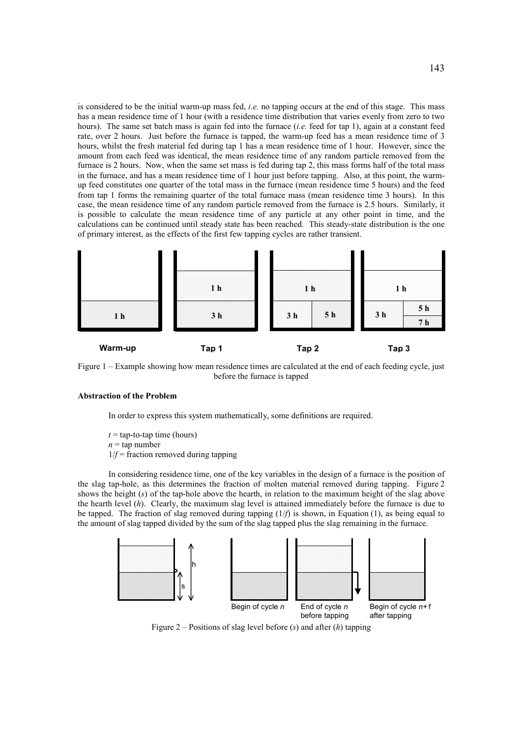is considered to be the initial warm-up mass fed, *i.e.* no tapping occurs at the end of this stage. This mass has a mean residence time of 1 hour (with a residence time distribution that varies evenly from zero to two hours). The same set batch mass is again fed into the furnace (*i.e.* feed for tap 1), again at a constant feed rate, over 2 hours. Just before the furnace is tapped, the warm-up feed has a mean residence time of 3 hours, whilst the fresh material fed during tap 1 has a mean residence time of 1 hour. However, since the amount from each feed was identical, the mean residence time of any random particle removed from the furnace is 2 hours. Now, when the same set mass is fed during tap 2, this mass forms half of the total mass in the furnace, and has a mean residence time of 1 hour just before tapping. Also, at this point, the warmup feed constitutes one quarter of the total mass in the furnace (mean residence time 5 hours) and the feed from tap 1 forms the remaining quarter of the total furnace mass (mean residence time 3 hours). In this case, the mean residence time of any random particle removed from the furnace is 2.5 hours. Similarly, it is possible to calculate the mean residence time of any particle at any other point in time, and the calculations can be continued until steady state has been reached. This steady-state distribution is the one of primary interest, as the effects of the first few tapping cycles are rather transient.



Figure 1 – Example showing how mean residence times are calculated at the end of each feeding cycle, just before the furnace is tapped

### **Abstraction of the Problem**

In order to express this system mathematically, some definitions are required.

 $t =$  tap-to-tap time (hours)  $n = \text{tan number}$  $1/f$  = fraction removed during tapping

In considering residence time, one of the key variables in the design of a furnace is the position of the slag tap-hole, as this determines the fraction of molten material removed during tapping. Figure 2 shows the height (*s*) of the tap-hole above the hearth, in relation to the maximum height of the slag above the hearth level (*h*). Clearly, the maximum slag level is attained immediately before the furnace is due to be tapped. The fraction of slag removed during tapping (1/*f*) is shown, in Equation (1), as being equal to the amount of slag tapped divided by the sum of the slag tapped plus the slag remaining in the furnace.



Figure 2 – Positions of slag level before (*s*) and after (*h*) tapping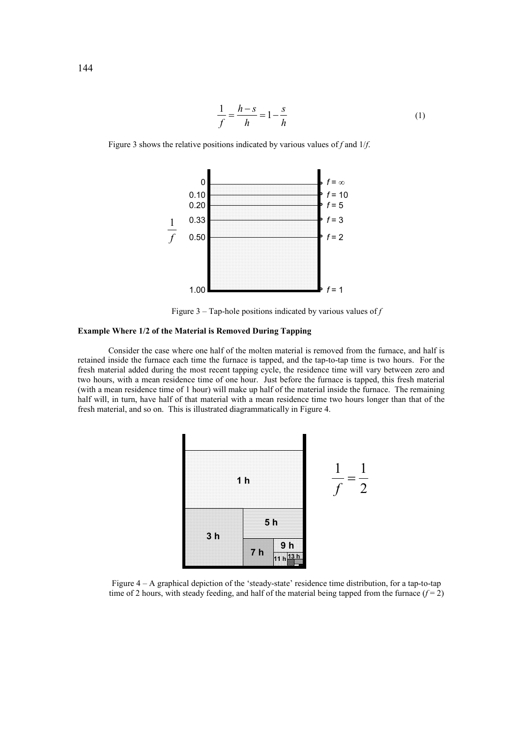$$
\frac{1}{f} = \frac{h - s}{h} = 1 - \frac{s}{h}
$$
 (1)



Figure 3 shows the relative positions indicated by various values of *f* and 1/*f*.

Figure 3 – Tap-hole positions indicated by various values of *f*

# **Example Where 1/2 of the Material is Removed During Tapping**

Consider the case where one half of the molten material is removed from the furnace, and half is retained inside the furnace each time the furnace is tapped, and the tap-to-tap time is two hours. For the fresh material added during the most recent tapping cycle, the residence time will vary between zero and two hours, with a mean residence time of one hour. Just before the furnace is tapped, this fresh material (with a mean residence time of 1 hour) will make up half of the material inside the furnace. The remaining half will, in turn, have half of that material with a mean residence time two hours longer than that of the fresh material, and so on. This is illustrated diagrammatically in Figure 4.



Figure 4 – A graphical depiction of the 'steady-state' residence time distribution, for a tap-to-tap time of 2 hours, with steady feeding, and half of the material being tapped from the furnace  $(f = 2)$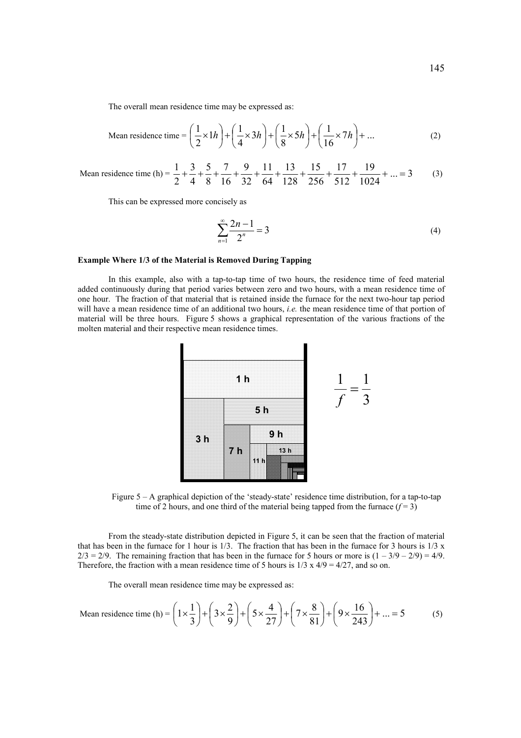Mean residence time = 
$$
\left(\frac{1}{2} \times 1h\right) + \left(\frac{1}{4} \times 3h\right) + \left(\frac{1}{8} \times 5h\right) + \left(\frac{1}{16} \times 7h\right) + \dots
$$
 (2)

Mean residence time (h) =  $\frac{1}{2} + \frac{1}{2} + \frac{1}{3} + \frac{1}{4} + \frac{1}{5} + \frac{1}{5} + \frac{1}{100} + \frac{1}{200} + \frac{1}{100} + \frac{1}{100} + \frac{1}{100} + \frac{1}{100} + \frac{1}{100} + \frac{1}{100} + \frac{1}{100} + \frac{1}{100} + \frac{1}{100} + \frac{1}{100} + \frac{1}{100} + \frac{1}{100} + \frac{1}{1$ 1024 19 512 17 256 15 128 13 64 11 32 9 16 7 8 5 4 3 2  $\frac{1}{2} + \frac{3}{4} + \frac{5}{4} + \frac{7}{44} + \frac{9}{44} + \frac{11}{44} + \frac{13}{444} + \frac{15}{444} + \frac{17}{444} + \frac{19}{444} + \dots = 3$  (3)

This can be expressed more concisely as

$$
\sum_{n=1}^{\infty} \frac{2n-1}{2^n} = 3
$$
 (4)

### **Example Where 1/3 of the Material is Removed During Tapping**

In this example, also with a tap-to-tap time of two hours, the residence time of feed material added continuously during that period varies between zero and two hours, with a mean residence time of one hour. The fraction of that material that is retained inside the furnace for the next two-hour tap period will have a mean residence time of an additional two hours, *i.e.* the mean residence time of that portion of material will be three hours. Figure 5 shows a graphical representation of the various fractions of the molten material and their respective mean residence times.



Figure 5 – A graphical depiction of the 'steady-state' residence time distribution, for a tap-to-tap time of 2 hours, and one third of the material being tapped from the furnace  $(f=3)$ 

From the steady-state distribution depicted in Figure 5, it can be seen that the fraction of material that has been in the furnace for 1 hour is  $1/3$ . The fraction that has been in the furnace for 3 hours is  $1/3 \times 1/3$  $2/3 = 2/9$ . The remaining fraction that has been in the furnace for 5 hours or more is  $(1 - 3/9 - 2/9) = 4/9$ . Therefore, the fraction with a mean residence time of 5 hours is  $1/3 \times 4/9 = 4/27$ , and so on.

The overall mean residence time may be expressed as:

Mean residence time (h) = 
$$
\left(1 \times \frac{1}{3}\right) + \left(3 \times \frac{2}{9}\right) + \left(5 \times \frac{4}{27}\right) + \left(7 \times \frac{8}{81}\right) + \left(9 \times \frac{16}{243}\right) + \dots = 5
$$
 (5)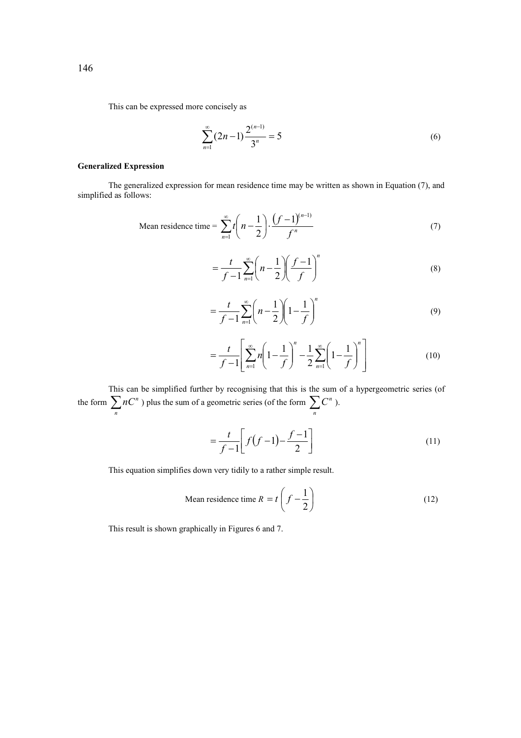This can be expressed more concisely as

$$
\sum_{n=1}^{\infty} (2n-1) \frac{2^{(n-1)}}{3^n} = 5
$$
 (6)

# **Generalized Expression**

The generalized expression for mean residence time may be written as shown in Equation (7), and simplified as follows:

Mean residence time = 
$$
\sum_{n=1}^{\infty} t \left( n - \frac{1}{2} \right) \cdot \frac{\left( f - 1 \right)^{(n-1)}}{f^n}
$$
 (7)

$$
=\frac{t}{f-1}\sum_{n=1}^{\infty}\left(n-\frac{1}{2}\right)\left(\frac{f-1}{f}\right)^{n}\tag{8}
$$

$$
= \frac{t}{f-1} \sum_{n=1}^{\infty} \left( n - \frac{1}{2} \right) \left( 1 - \frac{1}{f} \right)^n
$$
 (9)

$$
= \frac{t}{f-1} \left[ \sum_{n=1}^{\infty} n \left( 1 - \frac{1}{f} \right)^n - \frac{1}{2} \sum_{n=1}^{\infty} \left( 1 - \frac{1}{f} \right)^n \right]
$$
(10)

This can be simplified further by recognising that this is the sum of a hypergeometric series (of the form  $\sum_{n} nC^{n}$  ) plus the sum of a geometric series (of the form  $\sum_{n} C^{n}$  ).

$$
=\frac{t}{f-1}\left[f(f-1)-\frac{f-1}{2}\right]
$$
\n(11)

This equation simplifies down very tidily to a rather simple result.

Mean residence time 
$$
R = t \left( f - \frac{1}{2} \right)
$$
 (12)

This result is shown graphically in Figures 6 and 7.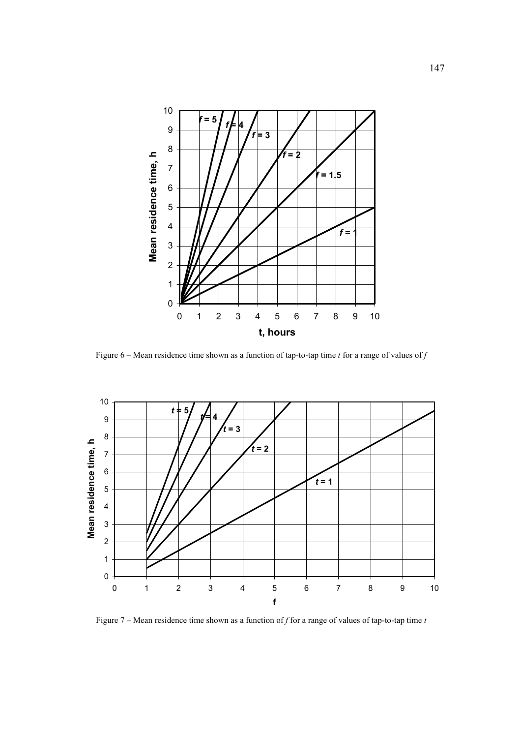

Figure 6 – Mean residence time shown as a function of tap-to-tap time *t* for a range of values of *f* 



Figure 7 – Mean residence time shown as a function of *f* for a range of values of tap-to-tap time *t*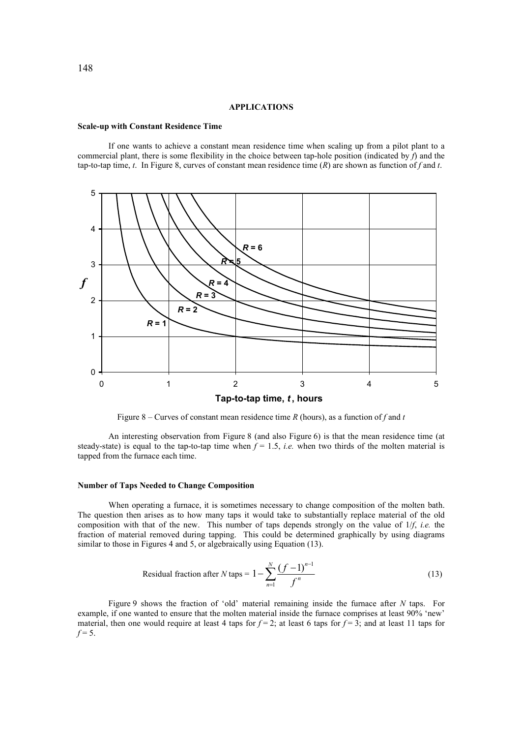### **APPLICATIONS**

#### **Scale-up with Constant Residence Time**

If one wants to achieve a constant mean residence time when scaling up from a pilot plant to a commercial plant, there is some flexibility in the choice between tap-hole position (indicated by *f*) and the tap-to-tap time, *t*. In Figure 8, curves of constant mean residence time (*R*) are shown as function of *f* and *t*.



Figure 8 – Curves of constant mean residence time  $R$  (hours), as a function of  $f$  and  $t$ 

An interesting observation from Figure 8 (and also Figure 6) is that the mean residence time (at steady-state) is equal to the tap-to-tap time when  $f = 1.5$ , *i.e.* when two thirds of the molten material is tapped from the furnace each time.

### **Number of Taps Needed to Change Composition**

When operating a furnace, it is sometimes necessary to change composition of the molten bath. The question then arises as to how many taps it would take to substantially replace material of the old composition with that of the new. This number of taps depends strongly on the value of 1/*f*, *i.e.* the fraction of material removed during tapping. This could be determined graphically by using diagrams similar to those in Figures 4 and 5, or algebraically using Equation (13).

Residual fraction after *N* taps = 
$$
1 - \sum_{n=1}^{N} \frac{(f-1)^{n-1}}{f^n}
$$
 (13)

Figure 9 shows the fraction of 'old' material remaining inside the furnace after *N* taps. For example, if one wanted to ensure that the molten material inside the furnace comprises at least 90% 'new' material, then one would require at least 4 taps for  $f = 2$ ; at least 6 taps for  $f = 3$ ; and at least 11 taps for  $f = 5$ .